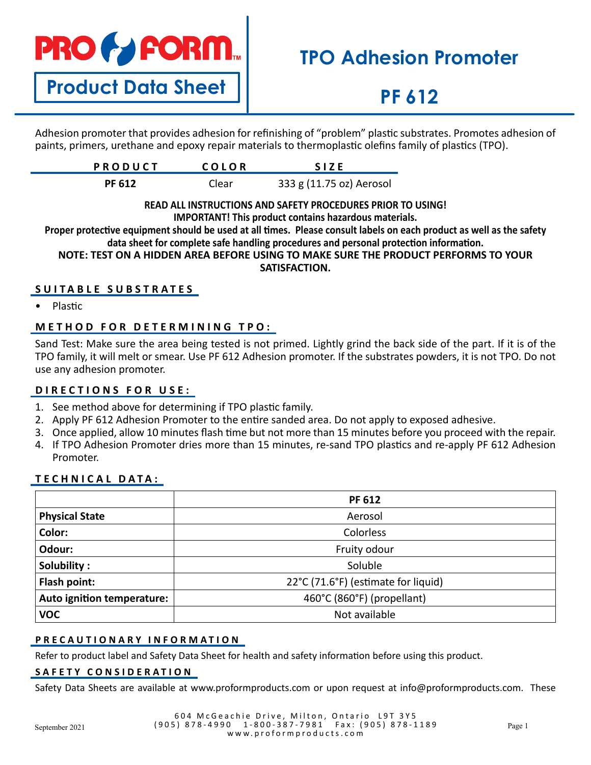# **PRO & FORM**

**Product Data Sheet**

# **TPO Adhesion Promoter**

# **PF 612**

Adhesion promoter that provides adhesion for refinishing of "problem" plastic substrates. Promotes adhesion of paints, primers, urethane and epoxy repair materials to thermoplastic olefins family of plastics (TPO).

| <b>PRODUCT</b> | <b>COLOR</b> | <b>SIZE</b>              |
|----------------|--------------|--------------------------|
| <b>PF 612</b>  | Clear        | 333 g (11.75 oz) Aerosol |

#### **READ ALL INSTRUCTIONS AND SAFETY PROCEDURES PRIOR TO USING! IMPORTANT! This product contains hazardous materials.**

**Proper protective equipment should be used at all times. Please consult labels on each product as well as the safety data sheet for complete safe handling procedures and personal protection information.**

**NOTE: TEST ON A HIDDEN AREA BEFORE USING TO MAKE SURE THE PRODUCT PERFORMS TO YOUR SATISFACTION.**

### **SUITABLE SUBSTRATES**

• Plastic

### **METHOD FOR DETERMINING TPO:**

Sand Test: Make sure the area being tested is not primed. Lightly grind the back side of the part. If it is of the TPO family, it will melt or smear. Use PF 612 Adhesion promoter. If the substrates powders, it is not TPO. Do not use any adhesion promoter.

### **DIRECTIONS FOR USE:**

- 1. See method above for determining if TPO plastic family.
- 2. Apply PF 612 Adhesion Promoter to the entire sanded area. Do not apply to exposed adhesive.
- 3. Once applied, allow 10 minutes flash time but not more than 15 minutes before you proceed with the repair.
- 4. If TPO Adhesion Promoter dries more than 15 minutes, re-sand TPO plastics and re-apply PF 612 Adhesion Promoter.

### **TECHNICAL DATA:**

|                            | <b>PF 612</b>                       |  |
|----------------------------|-------------------------------------|--|
| <b>Physical State</b>      | Aerosol                             |  |
| Color:                     | Colorless                           |  |
| Odour:                     | Fruity odour                        |  |
| Solubility:                | Soluble                             |  |
| Flash point:               | 22°C (71.6°F) (estimate for liquid) |  |
| Auto ignition temperature: | 460°C (860°F) (propellant)          |  |
| <b>VOC</b>                 | Not available                       |  |

### **PRECAUTIONARY INFORMATION**

Refer to product label and Safety Data Sheet for health and safety information before using this product.

### **SAFETY CONSIDERATION**

Safety Data Sheets are available at www.proformproducts.com or upon request at info@proformproducts.com. These